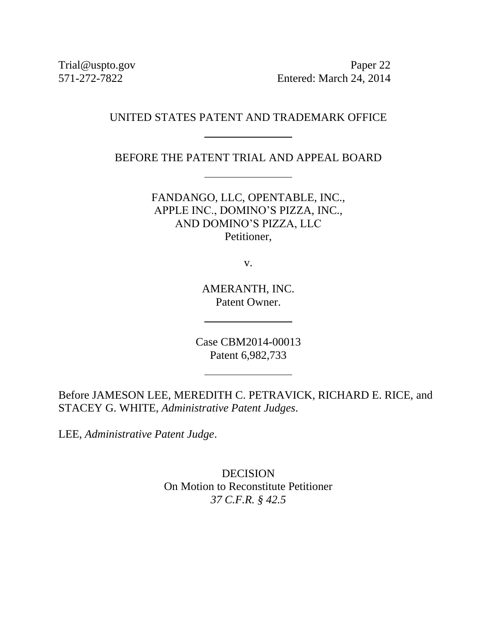Trial@uspto.gov Paper 22 571-272-7822 Entered: March 24, 2014

# UNITED STATES PATENT AND TRADEMARK OFFICE

BEFORE THE PATENT TRIAL AND APPEAL BOARD

FANDANGO, LLC, OPENTABLE, INC., APPLE INC., DOMINO'S PIZZA, INC., AND DOMINO'S PIZZA, LLC Petitioner,

v.

AMERANTH, INC. Patent Owner.

Case CBM2014-00013 Patent 6,982,733

Before JAMESON LEE, MEREDITH C. PETRAVICK, RICHARD E. RICE, and STACEY G. WHITE, *Administrative Patent Judges*.

LEE, *Administrative Patent Judge*.

DECISION On Motion to Reconstitute Petitioner *37 C.F.R. § 42.5*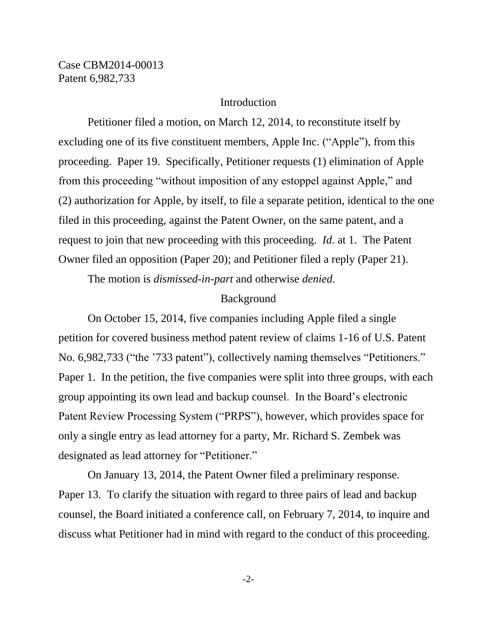#### Introduction

Petitioner filed a motion, on March 12, 2014, to reconstitute itself by excluding one of its five constituent members, Apple Inc. ("Apple"), from this proceeding. Paper 19. Specifically, Petitioner requests (1) elimination of Apple from this proceeding "without imposition of any estoppel against Apple," and (2) authorization for Apple, by itself, to file a separate petition, identical to the one filed in this proceeding, against the Patent Owner, on the same patent, and a request to join that new proceeding with this proceeding. *Id*. at 1. The Patent Owner filed an opposition (Paper 20); and Petitioner filed a reply (Paper 21).

The motion is *dismissed-in-part* and otherwise *denied*.

#### Background

On October 15, 2014, five companies including Apple filed a single petition for covered business method patent review of claims 1-16 of U.S. Patent No. 6,982,733 ("the '733 patent"), collectively naming themselves "Petitioners." Paper 1. In the petition, the five companies were split into three groups, with each group appointing its own lead and backup counsel. In the Board's electronic Patent Review Processing System ("PRPS"), however, which provides space for only a single entry as lead attorney for a party, Mr. Richard S. Zembek was designated as lead attorney for "Petitioner."

On January 13, 2014, the Patent Owner filed a preliminary response. Paper 13. To clarify the situation with regard to three pairs of lead and backup counsel, the Board initiated a conference call, on February 7, 2014, to inquire and discuss what Petitioner had in mind with regard to the conduct of this proceeding.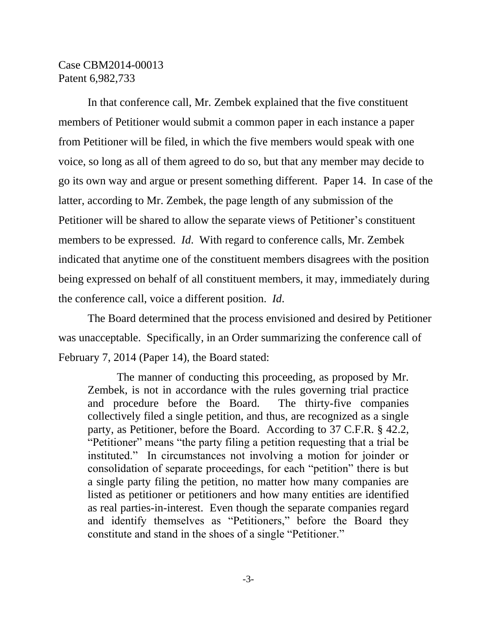In that conference call, Mr. Zembek explained that the five constituent members of Petitioner would submit a common paper in each instance a paper from Petitioner will be filed, in which the five members would speak with one voice, so long as all of them agreed to do so, but that any member may decide to go its own way and argue or present something different. Paper 14. In case of the latter, according to Mr. Zembek, the page length of any submission of the Petitioner will be shared to allow the separate views of Petitioner's constituent members to be expressed. *Id*. With regard to conference calls, Mr. Zembek indicated that anytime one of the constituent members disagrees with the position being expressed on behalf of all constituent members, it may, immediately during the conference call, voice a different position. *Id*.

The Board determined that the process envisioned and desired by Petitioner was unacceptable. Specifically, in an Order summarizing the conference call of February 7, 2014 (Paper 14), the Board stated:

The manner of conducting this proceeding, as proposed by Mr. Zembek, is not in accordance with the rules governing trial practice and procedure before the Board. The thirty-five companies collectively filed a single petition, and thus, are recognized as a single party, as Petitioner, before the Board. According to 37 C.F.R. § 42.2, "Petitioner" means "the party filing a petition requesting that a trial be instituted." In circumstances not involving a motion for joinder or consolidation of separate proceedings, for each "petition" there is but a single party filing the petition, no matter how many companies are listed as petitioner or petitioners and how many entities are identified as real parties-in-interest. Even though the separate companies regard and identify themselves as "Petitioners," before the Board they constitute and stand in the shoes of a single "Petitioner."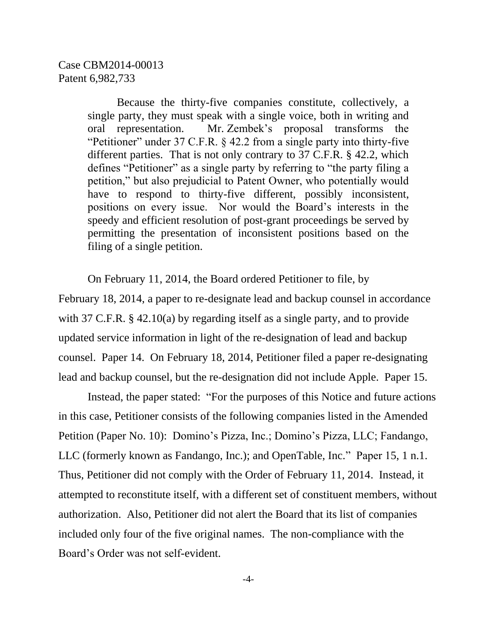Because the thirty-five companies constitute, collectively, a single party, they must speak with a single voice, both in writing and oral representation. Mr. Zembek's proposal transforms the "Petitioner" under 37 C.F.R. § 42.2 from a single party into thirty-five different parties. That is not only contrary to 37 C.F.R. § 42.2, which defines "Petitioner" as a single party by referring to "the party filing a petition," but also prejudicial to Patent Owner, who potentially would have to respond to thirty-five different, possibly inconsistent, positions on every issue. Nor would the Board's interests in the speedy and efficient resolution of post-grant proceedings be served by permitting the presentation of inconsistent positions based on the filing of a single petition.

On February 11, 2014, the Board ordered Petitioner to file, by February 18, 2014, a paper to re-designate lead and backup counsel in accordance with 37 C.F.R. § 42.10(a) by regarding itself as a single party, and to provide updated service information in light of the re-designation of lead and backup counsel. Paper 14. On February 18, 2014, Petitioner filed a paper re-designating lead and backup counsel, but the re-designation did not include Apple. Paper 15.

Instead, the paper stated: "For the purposes of this Notice and future actions in this case, Petitioner consists of the following companies listed in the Amended Petition (Paper No. 10): Domino's Pizza, Inc.; Domino's Pizza, LLC; Fandango, LLC (formerly known as Fandango, Inc.); and OpenTable, Inc." Paper 15, 1 n.1. Thus, Petitioner did not comply with the Order of February 11, 2014. Instead, it attempted to reconstitute itself, with a different set of constituent members, without authorization. Also, Petitioner did not alert the Board that its list of companies included only four of the five original names. The non-compliance with the Board's Order was not self-evident.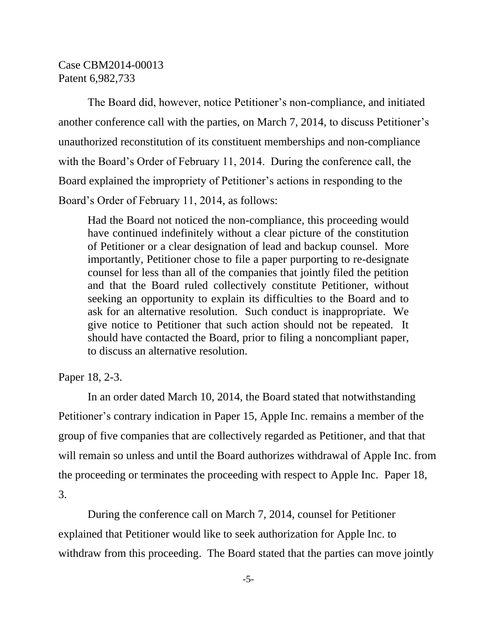The Board did, however, notice Petitioner's non-compliance, and initiated another conference call with the parties, on March 7, 2014, to discuss Petitioner's unauthorized reconstitution of its constituent memberships and non-compliance with the Board's Order of February 11, 2014. During the conference call, the Board explained the impropriety of Petitioner's actions in responding to the Board's Order of February 11, 2014, as follows:

Had the Board not noticed the non-compliance, this proceeding would have continued indefinitely without a clear picture of the constitution of Petitioner or a clear designation of lead and backup counsel. More importantly, Petitioner chose to file a paper purporting to re-designate counsel for less than all of the companies that jointly filed the petition and that the Board ruled collectively constitute Petitioner, without seeking an opportunity to explain its difficulties to the Board and to ask for an alternative resolution. Such conduct is inappropriate. We give notice to Petitioner that such action should not be repeated. It should have contacted the Board, prior to filing a noncompliant paper, to discuss an alternative resolution.

Paper 18, 2-3.

In an order dated March 10, 2014, the Board stated that notwithstanding Petitioner's contrary indication in Paper 15, Apple Inc. remains a member of the group of five companies that are collectively regarded as Petitioner, and that that will remain so unless and until the Board authorizes withdrawal of Apple Inc. from the proceeding or terminates the proceeding with respect to Apple Inc. Paper 18, 3.

During the conference call on March 7, 2014, counsel for Petitioner explained that Petitioner would like to seek authorization for Apple Inc. to withdraw from this proceeding. The Board stated that the parties can move jointly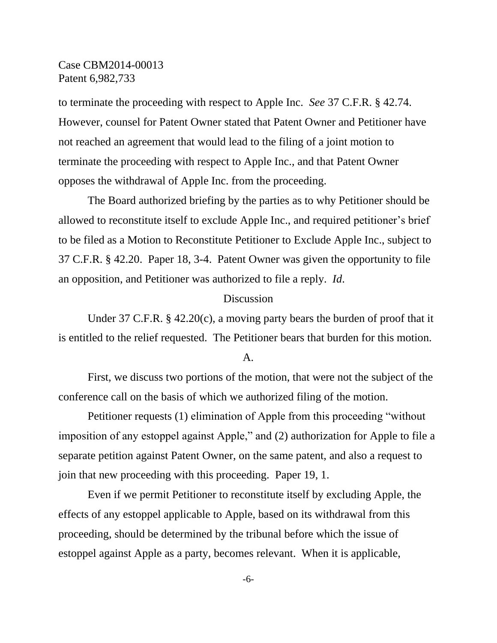to terminate the proceeding with respect to Apple Inc. *See* 37 C.F.R. § 42.74. However, counsel for Patent Owner stated that Patent Owner and Petitioner have not reached an agreement that would lead to the filing of a joint motion to terminate the proceeding with respect to Apple Inc., and that Patent Owner opposes the withdrawal of Apple Inc. from the proceeding.

The Board authorized briefing by the parties as to why Petitioner should be allowed to reconstitute itself to exclude Apple Inc., and required petitioner's brief to be filed as a Motion to Reconstitute Petitioner to Exclude Apple Inc., subject to 37 C.F.R. § 42.20. Paper 18, 3-4. Patent Owner was given the opportunity to file an opposition, and Petitioner was authorized to file a reply. *Id*.

#### Discussion

Under 37 C.F.R. § 42.20(c), a moving party bears the burden of proof that it is entitled to the relief requested. The Petitioner bears that burden for this motion.

#### A.

First, we discuss two portions of the motion, that were not the subject of the conference call on the basis of which we authorized filing of the motion.

Petitioner requests (1) elimination of Apple from this proceeding "without imposition of any estoppel against Apple," and (2) authorization for Apple to file a separate petition against Patent Owner, on the same patent, and also a request to join that new proceeding with this proceeding. Paper 19, 1.

Even if we permit Petitioner to reconstitute itself by excluding Apple, the effects of any estoppel applicable to Apple, based on its withdrawal from this proceeding, should be determined by the tribunal before which the issue of estoppel against Apple as a party, becomes relevant. When it is applicable,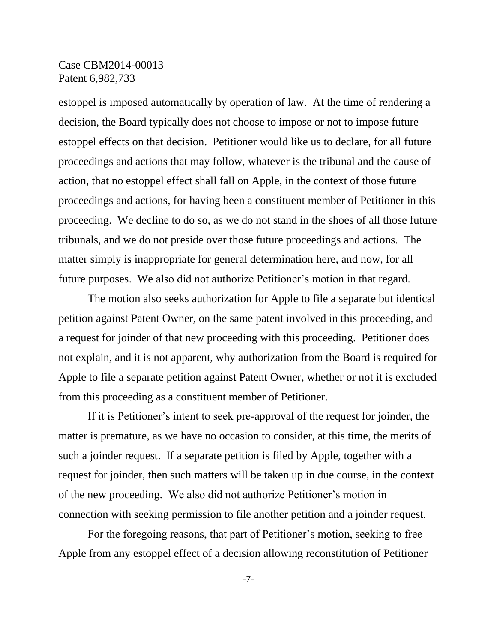estoppel is imposed automatically by operation of law. At the time of rendering a decision, the Board typically does not choose to impose or not to impose future estoppel effects on that decision. Petitioner would like us to declare, for all future proceedings and actions that may follow, whatever is the tribunal and the cause of action, that no estoppel effect shall fall on Apple, in the context of those future proceedings and actions, for having been a constituent member of Petitioner in this proceeding. We decline to do so, as we do not stand in the shoes of all those future tribunals, and we do not preside over those future proceedings and actions. The matter simply is inappropriate for general determination here, and now, for all future purposes. We also did not authorize Petitioner's motion in that regard.

The motion also seeks authorization for Apple to file a separate but identical petition against Patent Owner, on the same patent involved in this proceeding, and a request for joinder of that new proceeding with this proceeding. Petitioner does not explain, and it is not apparent, why authorization from the Board is required for Apple to file a separate petition against Patent Owner, whether or not it is excluded from this proceeding as a constituent member of Petitioner.

If it is Petitioner's intent to seek pre-approval of the request for joinder, the matter is premature, as we have no occasion to consider, at this time, the merits of such a joinder request. If a separate petition is filed by Apple, together with a request for joinder, then such matters will be taken up in due course, in the context of the new proceeding. We also did not authorize Petitioner's motion in connection with seeking permission to file another petition and a joinder request.

For the foregoing reasons, that part of Petitioner's motion, seeking to free Apple from any estoppel effect of a decision allowing reconstitution of Petitioner

-7-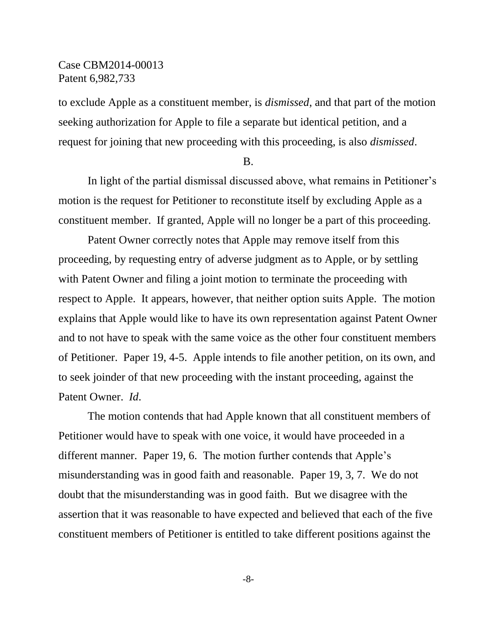to exclude Apple as a constituent member, is *dismissed*, and that part of the motion seeking authorization for Apple to file a separate but identical petition, and a request for joining that new proceeding with this proceeding, is also *dismissed*.

#### B.

In light of the partial dismissal discussed above, what remains in Petitioner's motion is the request for Petitioner to reconstitute itself by excluding Apple as a constituent member. If granted, Apple will no longer be a part of this proceeding.

Patent Owner correctly notes that Apple may remove itself from this proceeding, by requesting entry of adverse judgment as to Apple, or by settling with Patent Owner and filing a joint motion to terminate the proceeding with respect to Apple. It appears, however, that neither option suits Apple. The motion explains that Apple would like to have its own representation against Patent Owner and to not have to speak with the same voice as the other four constituent members of Petitioner. Paper 19, 4-5. Apple intends to file another petition, on its own, and to seek joinder of that new proceeding with the instant proceeding, against the Patent Owner. *Id*.

The motion contends that had Apple known that all constituent members of Petitioner would have to speak with one voice, it would have proceeded in a different manner. Paper 19, 6. The motion further contends that Apple's misunderstanding was in good faith and reasonable. Paper 19, 3, 7. We do not doubt that the misunderstanding was in good faith. But we disagree with the assertion that it was reasonable to have expected and believed that each of the five constituent members of Petitioner is entitled to take different positions against the

-8-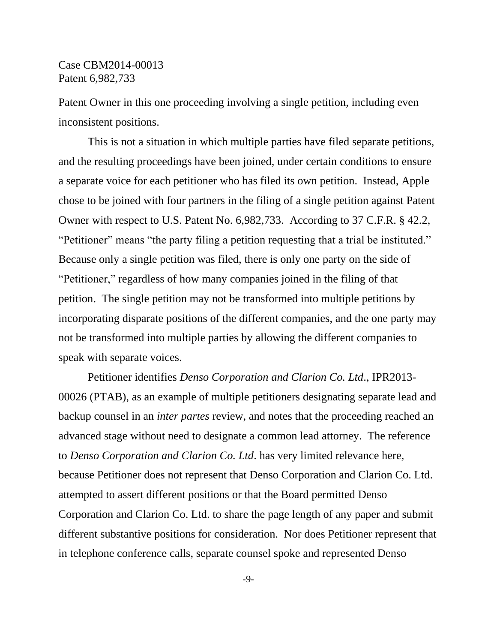Patent Owner in this one proceeding involving a single petition, including even inconsistent positions.

This is not a situation in which multiple parties have filed separate petitions, and the resulting proceedings have been joined, under certain conditions to ensure a separate voice for each petitioner who has filed its own petition. Instead, Apple chose to be joined with four partners in the filing of a single petition against Patent Owner with respect to U.S. Patent No. 6,982,733. According to 37 C.F.R. § 42.2, "Petitioner" means "the party filing a petition requesting that a trial be instituted." Because only a single petition was filed, there is only one party on the side of "Petitioner," regardless of how many companies joined in the filing of that petition. The single petition may not be transformed into multiple petitions by incorporating disparate positions of the different companies, and the one party may not be transformed into multiple parties by allowing the different companies to speak with separate voices.

Petitioner identifies *Denso Corporation and Clarion Co. Ltd*., IPR2013- 00026 (PTAB), as an example of multiple petitioners designating separate lead and backup counsel in an *inter partes* review, and notes that the proceeding reached an advanced stage without need to designate a common lead attorney. The reference to *Denso Corporation and Clarion Co. Ltd*. has very limited relevance here, because Petitioner does not represent that Denso Corporation and Clarion Co. Ltd. attempted to assert different positions or that the Board permitted Denso Corporation and Clarion Co. Ltd. to share the page length of any paper and submit different substantive positions for consideration. Nor does Petitioner represent that in telephone conference calls, separate counsel spoke and represented Denso

-9-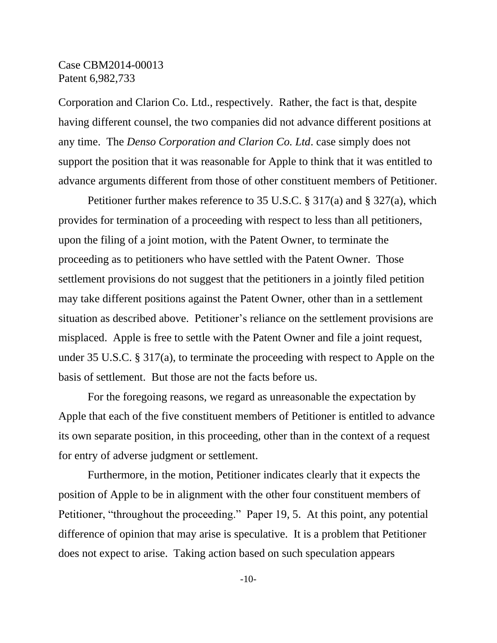Corporation and Clarion Co. Ltd., respectively. Rather, the fact is that, despite having different counsel, the two companies did not advance different positions at any time. The *Denso Corporation and Clarion Co. Ltd*. case simply does not support the position that it was reasonable for Apple to think that it was entitled to advance arguments different from those of other constituent members of Petitioner.

Petitioner further makes reference to 35 U.S.C. § 317(a) and § 327(a), which provides for termination of a proceeding with respect to less than all petitioners, upon the filing of a joint motion, with the Patent Owner, to terminate the proceeding as to petitioners who have settled with the Patent Owner. Those settlement provisions do not suggest that the petitioners in a jointly filed petition may take different positions against the Patent Owner, other than in a settlement situation as described above. Petitioner's reliance on the settlement provisions are misplaced. Apple is free to settle with the Patent Owner and file a joint request, under 35 U.S.C. § 317(a), to terminate the proceeding with respect to Apple on the basis of settlement. But those are not the facts before us.

For the foregoing reasons, we regard as unreasonable the expectation by Apple that each of the five constituent members of Petitioner is entitled to advance its own separate position, in this proceeding, other than in the context of a request for entry of adverse judgment or settlement.

Furthermore, in the motion, Petitioner indicates clearly that it expects the position of Apple to be in alignment with the other four constituent members of Petitioner, "throughout the proceeding." Paper 19, 5. At this point, any potential difference of opinion that may arise is speculative. It is a problem that Petitioner does not expect to arise. Taking action based on such speculation appears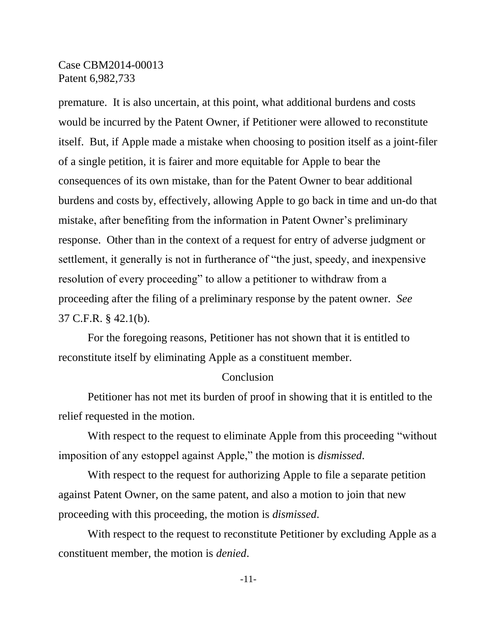premature. It is also uncertain, at this point, what additional burdens and costs would be incurred by the Patent Owner, if Petitioner were allowed to reconstitute itself. But, if Apple made a mistake when choosing to position itself as a joint-filer of a single petition, it is fairer and more equitable for Apple to bear the consequences of its own mistake, than for the Patent Owner to bear additional burdens and costs by, effectively, allowing Apple to go back in time and un-do that mistake, after benefiting from the information in Patent Owner's preliminary response. Other than in the context of a request for entry of adverse judgment or settlement, it generally is not in furtherance of "the just, speedy, and inexpensive resolution of every proceeding" to allow a petitioner to withdraw from a proceeding after the filing of a preliminary response by the patent owner. *See*  37 C.F.R. § 42.1(b).

For the foregoing reasons, Petitioner has not shown that it is entitled to reconstitute itself by eliminating Apple as a constituent member.

#### **Conclusion**

Petitioner has not met its burden of proof in showing that it is entitled to the relief requested in the motion.

With respect to the request to eliminate Apple from this proceeding "without imposition of any estoppel against Apple," the motion is *dismissed*.

With respect to the request for authorizing Apple to file a separate petition against Patent Owner, on the same patent, and also a motion to join that new proceeding with this proceeding, the motion is *dismissed*.

With respect to the request to reconstitute Petitioner by excluding Apple as a constituent member, the motion is *denied*.